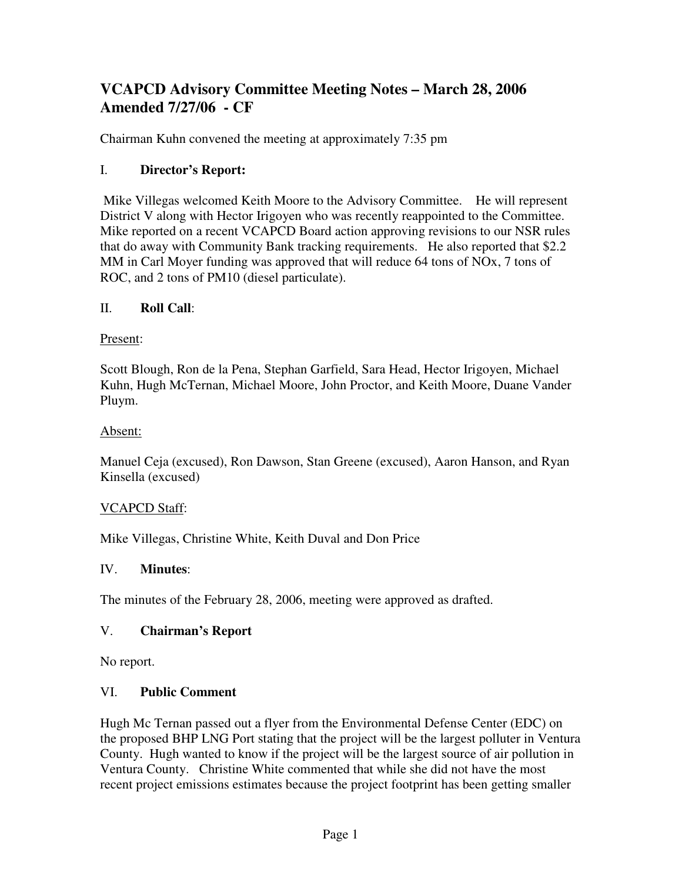# **VCAPCD Advisory Committee Meeting Notes – March 28, 2006 Amended 7/27/06 - CF**

Chairman Kuhn convened the meeting at approximately 7:35 pm

# I. **Director's Report:**

 Mike Villegas welcomed Keith Moore to the Advisory Committee. He will represent District V along with Hector Irigoyen who was recently reappointed to the Committee. Mike reported on a recent VCAPCD Board action approving revisions to our NSR rules that do away with Community Bank tracking requirements. He also reported that \$2.2 MM in Carl Moyer funding was approved that will reduce 64 tons of NOx, 7 tons of ROC, and 2 tons of PM10 (diesel particulate).

## II. **Roll Call**:

#### Present:

Scott Blough, Ron de la Pena, Stephan Garfield, Sara Head, Hector Irigoyen, Michael Kuhn, Hugh McTernan, Michael Moore, John Proctor, and Keith Moore, Duane Vander Pluym.

#### Absent:

Manuel Ceja (excused), Ron Dawson, Stan Greene (excused), Aaron Hanson, and Ryan Kinsella (excused)

## VCAPCD Staff:

Mike Villegas, Christine White, Keith Duval and Don Price

#### IV. **Minutes**:

The minutes of the February 28, 2006, meeting were approved as drafted.

## V. **Chairman's Report**

No report.

#### VI. **Public Comment**

Hugh Mc Ternan passed out a flyer from the Environmental Defense Center (EDC) on the proposed BHP LNG Port stating that the project will be the largest polluter in Ventura County. Hugh wanted to know if the project will be the largest source of air pollution in Ventura County. Christine White commented that while she did not have the most recent project emissions estimates because the project footprint has been getting smaller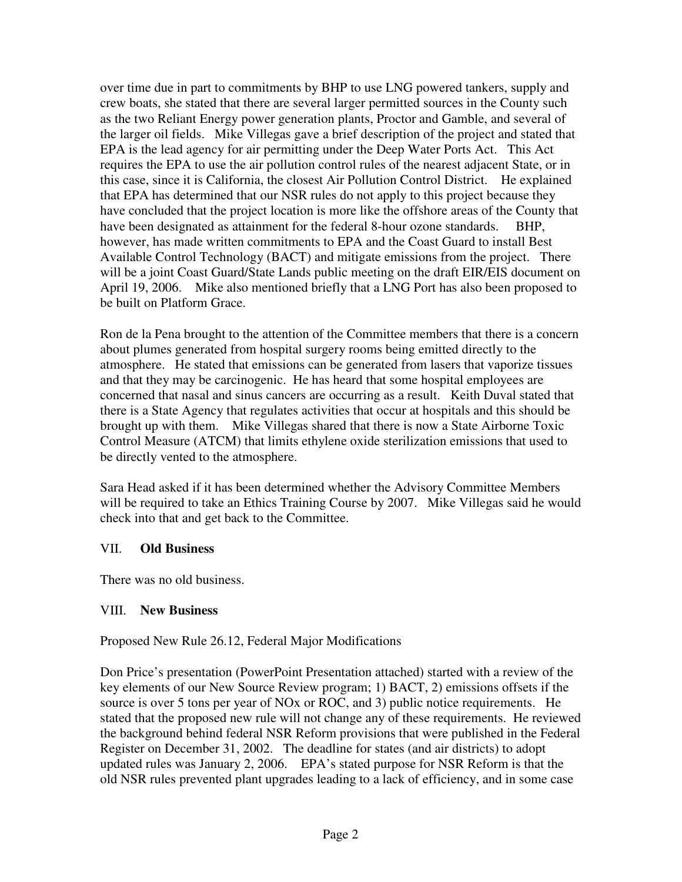over time due in part to commitments by BHP to use LNG powered tankers, supply and crew boats, she stated that there are several larger permitted sources in the County such as the two Reliant Energy power generation plants, Proctor and Gamble, and several of the larger oil fields. Mike Villegas gave a brief description of the project and stated that EPA is the lead agency for air permitting under the Deep Water Ports Act. This Act requires the EPA to use the air pollution control rules of the nearest adjacent State, or in this case, since it is California, the closest Air Pollution Control District. He explained that EPA has determined that our NSR rules do not apply to this project because they have concluded that the project location is more like the offshore areas of the County that have been designated as attainment for the federal 8-hour ozone standards. BHP, however, has made written commitments to EPA and the Coast Guard to install Best Available Control Technology (BACT) and mitigate emissions from the project. There will be a joint Coast Guard/State Lands public meeting on the draft EIR/EIS document on April 19, 2006. Mike also mentioned briefly that a LNG Port has also been proposed to be built on Platform Grace.

Ron de la Pena brought to the attention of the Committee members that there is a concern about plumes generated from hospital surgery rooms being emitted directly to the atmosphere. He stated that emissions can be generated from lasers that vaporize tissues and that they may be carcinogenic. He has heard that some hospital employees are concerned that nasal and sinus cancers are occurring as a result. Keith Duval stated that there is a State Agency that regulates activities that occur at hospitals and this should be brought up with them. Mike Villegas shared that there is now a State Airborne Toxic Control Measure (ATCM) that limits ethylene oxide sterilization emissions that used to be directly vented to the atmosphere.

Sara Head asked if it has been determined whether the Advisory Committee Members will be required to take an Ethics Training Course by 2007. Mike Villegas said he would check into that and get back to the Committee.

## VII. **Old Business**

There was no old business.

# VIII. **New Business**

Proposed New Rule 26.12, Federal Major Modifications

Don Price's presentation (PowerPoint Presentation attached) started with a review of the key elements of our New Source Review program; 1) BACT, 2) emissions offsets if the source is over 5 tons per year of NOx or ROC, and 3) public notice requirements. He stated that the proposed new rule will not change any of these requirements. He reviewed the background behind federal NSR Reform provisions that were published in the Federal Register on December 31, 2002. The deadline for states (and air districts) to adopt updated rules was January 2, 2006. EPA's stated purpose for NSR Reform is that the old NSR rules prevented plant upgrades leading to a lack of efficiency, and in some case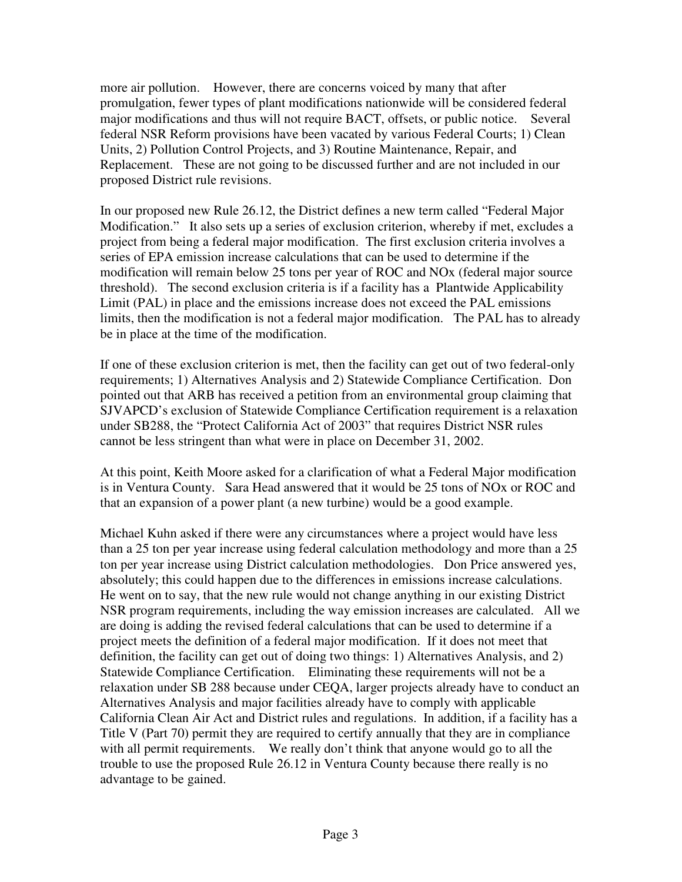more air pollution. However, there are concerns voiced by many that after promulgation, fewer types of plant modifications nationwide will be considered federal major modifications and thus will not require BACT, offsets, or public notice. Several federal NSR Reform provisions have been vacated by various Federal Courts; 1) Clean Units, 2) Pollution Control Projects, and 3) Routine Maintenance, Repair, and Replacement. These are not going to be discussed further and are not included in our proposed District rule revisions.

In our proposed new Rule 26.12, the District defines a new term called "Federal Major Modification." It also sets up a series of exclusion criterion, whereby if met, excludes a project from being a federal major modification. The first exclusion criteria involves a series of EPA emission increase calculations that can be used to determine if the modification will remain below 25 tons per year of ROC and NOx (federal major source threshold). The second exclusion criteria is if a facility has a Plantwide Applicability Limit (PAL) in place and the emissions increase does not exceed the PAL emissions limits, then the modification is not a federal major modification. The PAL has to already be in place at the time of the modification.

If one of these exclusion criterion is met, then the facility can get out of two federal-only requirements; 1) Alternatives Analysis and 2) Statewide Compliance Certification. Don pointed out that ARB has received a petition from an environmental group claiming that SJVAPCD's exclusion of Statewide Compliance Certification requirement is a relaxation under SB288, the "Protect California Act of 2003" that requires District NSR rules cannot be less stringent than what were in place on December 31, 2002.

At this point, Keith Moore asked for a clarification of what a Federal Major modification is in Ventura County. Sara Head answered that it would be 25 tons of NOx or ROC and that an expansion of a power plant (a new turbine) would be a good example.

Michael Kuhn asked if there were any circumstances where a project would have less than a 25 ton per year increase using federal calculation methodology and more than a 25 ton per year increase using District calculation methodologies. Don Price answered yes, absolutely; this could happen due to the differences in emissions increase calculations. He went on to say, that the new rule would not change anything in our existing District NSR program requirements, including the way emission increases are calculated. All we are doing is adding the revised federal calculations that can be used to determine if a project meets the definition of a federal major modification. If it does not meet that definition, the facility can get out of doing two things: 1) Alternatives Analysis, and 2) Statewide Compliance Certification. Eliminating these requirements will not be a relaxation under SB 288 because under CEQA, larger projects already have to conduct an Alternatives Analysis and major facilities already have to comply with applicable California Clean Air Act and District rules and regulations. In addition, if a facility has a Title V (Part 70) permit they are required to certify annually that they are in compliance with all permit requirements. We really don't think that anyone would go to all the trouble to use the proposed Rule 26.12 in Ventura County because there really is no advantage to be gained.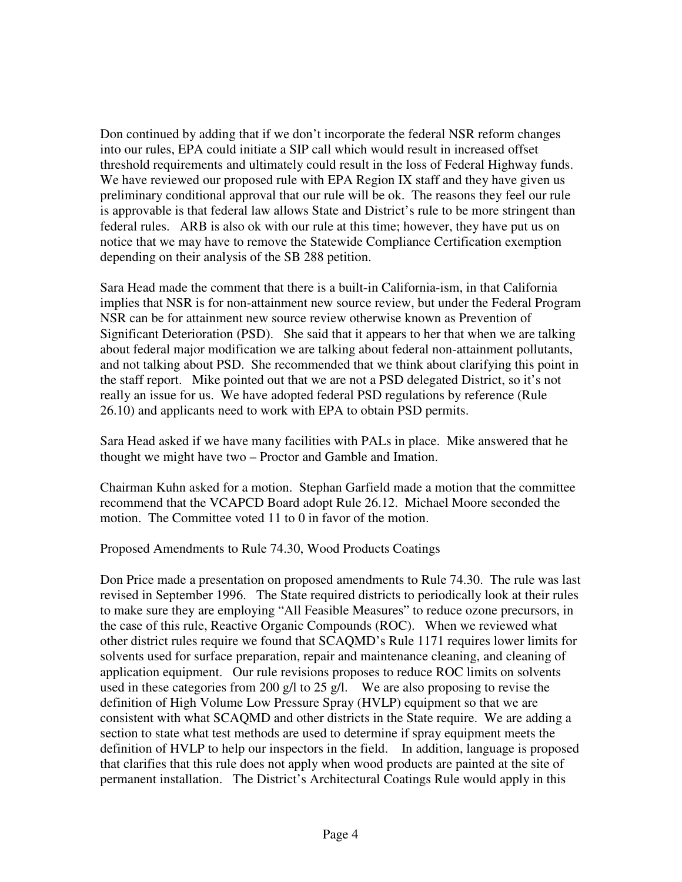Don continued by adding that if we don't incorporate the federal NSR reform changes into our rules, EPA could initiate a SIP call which would result in increased offset threshold requirements and ultimately could result in the loss of Federal Highway funds. We have reviewed our proposed rule with EPA Region IX staff and they have given us preliminary conditional approval that our rule will be ok. The reasons they feel our rule is approvable is that federal law allows State and District's rule to be more stringent than federal rules. ARB is also ok with our rule at this time; however, they have put us on notice that we may have to remove the Statewide Compliance Certification exemption depending on their analysis of the SB 288 petition.

Sara Head made the comment that there is a built-in California-ism, in that California implies that NSR is for non-attainment new source review, but under the Federal Program NSR can be for attainment new source review otherwise known as Prevention of Significant Deterioration (PSD). She said that it appears to her that when we are talking about federal major modification we are talking about federal non-attainment pollutants, and not talking about PSD. She recommended that we think about clarifying this point in the staff report. Mike pointed out that we are not a PSD delegated District, so it's not really an issue for us. We have adopted federal PSD regulations by reference (Rule 26.10) and applicants need to work with EPA to obtain PSD permits.

Sara Head asked if we have many facilities with PALs in place. Mike answered that he thought we might have two – Proctor and Gamble and Imation.

Chairman Kuhn asked for a motion. Stephan Garfield made a motion that the committee recommend that the VCAPCD Board adopt Rule 26.12. Michael Moore seconded the motion. The Committee voted 11 to 0 in favor of the motion.

Proposed Amendments to Rule 74.30, Wood Products Coatings

Don Price made a presentation on proposed amendments to Rule 74.30. The rule was last revised in September 1996. The State required districts to periodically look at their rules to make sure they are employing "All Feasible Measures" to reduce ozone precursors, in the case of this rule, Reactive Organic Compounds (ROC). When we reviewed what other district rules require we found that SCAQMD's Rule 1171 requires lower limits for solvents used for surface preparation, repair and maintenance cleaning, and cleaning of application equipment. Our rule revisions proposes to reduce ROC limits on solvents used in these categories from 200 g/l to 25 g/l. We are also proposing to revise the definition of High Volume Low Pressure Spray (HVLP) equipment so that we are consistent with what SCAQMD and other districts in the State require. We are adding a section to state what test methods are used to determine if spray equipment meets the definition of HVLP to help our inspectors in the field. In addition, language is proposed that clarifies that this rule does not apply when wood products are painted at the site of permanent installation. The District's Architectural Coatings Rule would apply in this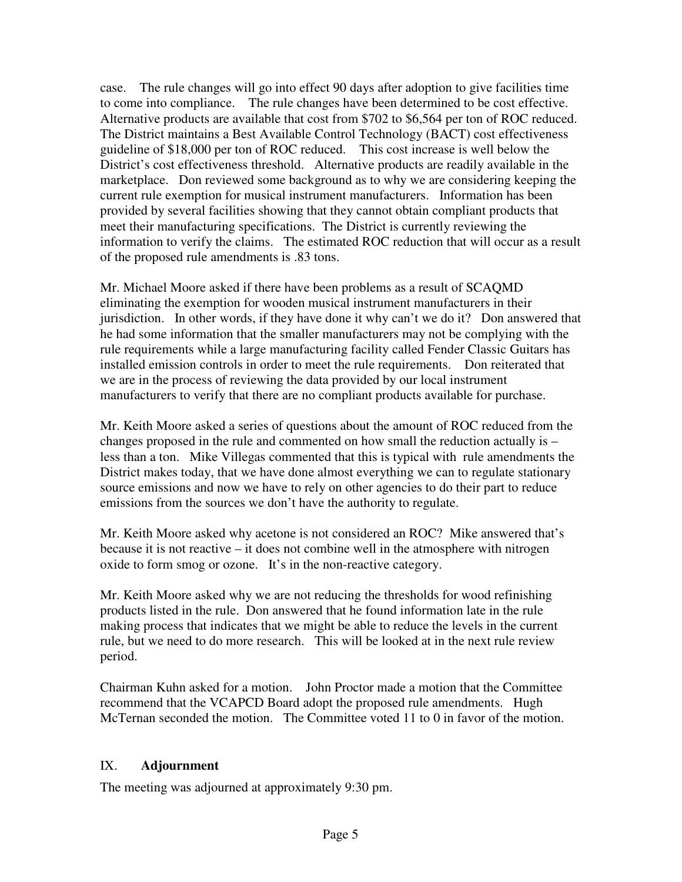case. The rule changes will go into effect 90 days after adoption to give facilities time to come into compliance. The rule changes have been determined to be cost effective. Alternative products are available that cost from \$702 to \$6,564 per ton of ROC reduced. The District maintains a Best Available Control Technology (BACT) cost effectiveness guideline of \$18,000 per ton of ROC reduced. This cost increase is well below the District's cost effectiveness threshold. Alternative products are readily available in the marketplace. Don reviewed some background as to why we are considering keeping the current rule exemption for musical instrument manufacturers. Information has been provided by several facilities showing that they cannot obtain compliant products that meet their manufacturing specifications. The District is currently reviewing the information to verify the claims. The estimated ROC reduction that will occur as a result of the proposed rule amendments is .83 tons.

Mr. Michael Moore asked if there have been problems as a result of SCAQMD eliminating the exemption for wooden musical instrument manufacturers in their jurisdiction. In other words, if they have done it why can't we do it? Don answered that he had some information that the smaller manufacturers may not be complying with the rule requirements while a large manufacturing facility called Fender Classic Guitars has installed emission controls in order to meet the rule requirements. Don reiterated that we are in the process of reviewing the data provided by our local instrument manufacturers to verify that there are no compliant products available for purchase.

Mr. Keith Moore asked a series of questions about the amount of ROC reduced from the changes proposed in the rule and commented on how small the reduction actually is – less than a ton. Mike Villegas commented that this is typical with rule amendments the District makes today, that we have done almost everything we can to regulate stationary source emissions and now we have to rely on other agencies to do their part to reduce emissions from the sources we don't have the authority to regulate.

Mr. Keith Moore asked why acetone is not considered an ROC? Mike answered that's because it is not reactive – it does not combine well in the atmosphere with nitrogen oxide to form smog or ozone. It's in the non-reactive category.

Mr. Keith Moore asked why we are not reducing the thresholds for wood refinishing products listed in the rule. Don answered that he found information late in the rule making process that indicates that we might be able to reduce the levels in the current rule, but we need to do more research. This will be looked at in the next rule review period.

Chairman Kuhn asked for a motion. John Proctor made a motion that the Committee recommend that the VCAPCD Board adopt the proposed rule amendments. Hugh McTernan seconded the motion. The Committee voted 11 to 0 in favor of the motion.

# IX. **Adjournment**

The meeting was adjourned at approximately 9:30 pm.